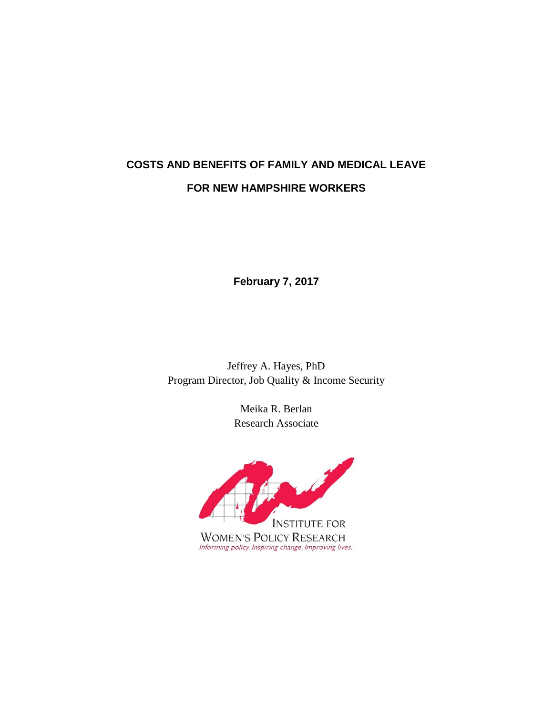# **COSTS AND BENEFITS OF FAMILY AND MEDICAL LEAVE FOR NEW HAMPSHIRE WORKERS**

**February 7, 2017**

Jeffrey A. Hayes, PhD Program Director, Job Quality & Income Security

> Meika R. Berlan Research Associate

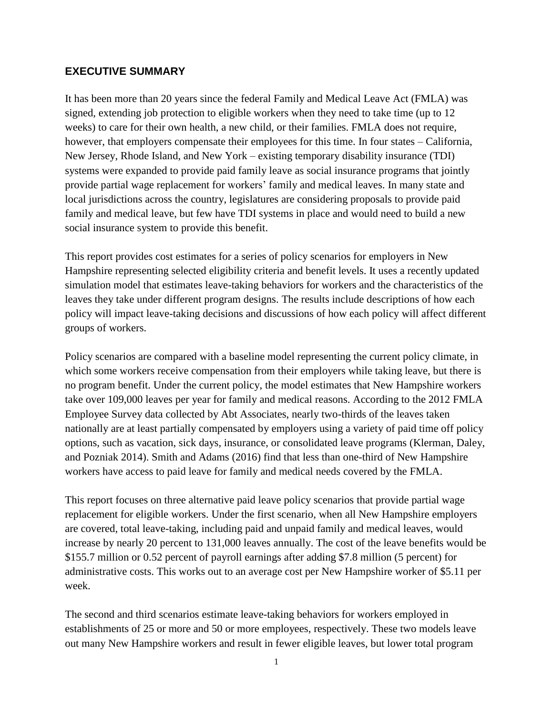#### **EXECUTIVE SUMMARY**

It has been more than 20 years since the federal Family and Medical Leave Act (FMLA) was signed, extending job protection to eligible workers when they need to take time (up to 12 weeks) to care for their own health, a new child, or their families. FMLA does not require, however, that employers compensate their employees for this time. In four states – California, New Jersey, Rhode Island, and New York – existing temporary disability insurance (TDI) systems were expanded to provide paid family leave as social insurance programs that jointly provide partial wage replacement for workers' family and medical leaves. In many state and local jurisdictions across the country, legislatures are considering proposals to provide paid family and medical leave, but few have TDI systems in place and would need to build a new social insurance system to provide this benefit.

This report provides cost estimates for a series of policy scenarios for employers in New Hampshire representing selected eligibility criteria and benefit levels. It uses a recently updated simulation model that estimates leave-taking behaviors for workers and the characteristics of the leaves they take under different program designs. The results include descriptions of how each policy will impact leave-taking decisions and discussions of how each policy will affect different groups of workers.

Policy scenarios are compared with a baseline model representing the current policy climate, in which some workers receive compensation from their employers while taking leave, but there is no program benefit. Under the current policy, the model estimates that New Hampshire workers take over 109,000 leaves per year for family and medical reasons. According to the 2012 FMLA Employee Survey data collected by Abt Associates, nearly two-thirds of the leaves taken nationally are at least partially compensated by employers using a variety of paid time off policy options, such as vacation, sick days, insurance, or consolidated leave programs (Klerman, Daley, and Pozniak 2014). Smith and Adams (2016) find that less than one-third of New Hampshire workers have access to paid leave for family and medical needs covered by the FMLA.

This report focuses on three alternative paid leave policy scenarios that provide partial wage replacement for eligible workers. Under the first scenario, when all New Hampshire employers are covered, total leave-taking, including paid and unpaid family and medical leaves, would increase by nearly 20 percent to 131,000 leaves annually. The cost of the leave benefits would be \$155.7 million or 0.52 percent of payroll earnings after adding \$7.8 million (5 percent) for administrative costs. This works out to an average cost per New Hampshire worker of \$5.11 per week.

The second and third scenarios estimate leave-taking behaviors for workers employed in establishments of 25 or more and 50 or more employees, respectively. These two models leave out many New Hampshire workers and result in fewer eligible leaves, but lower total program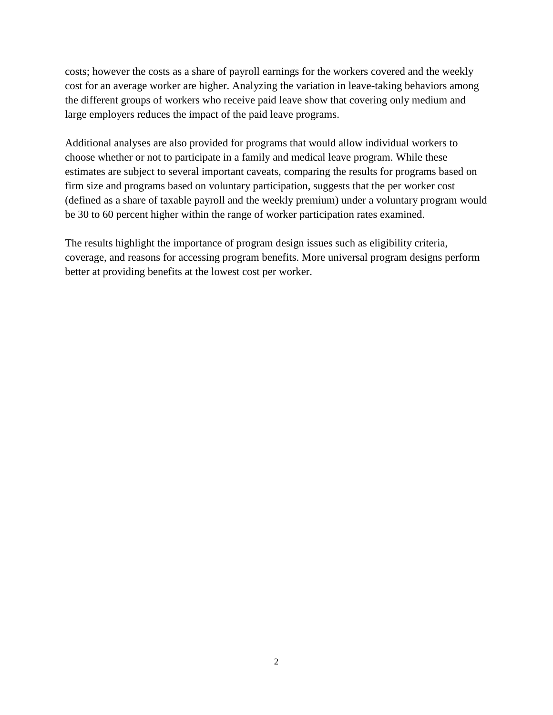costs; however the costs as a share of payroll earnings for the workers covered and the weekly cost for an average worker are higher. Analyzing the variation in leave-taking behaviors among the different groups of workers who receive paid leave show that covering only medium and large employers reduces the impact of the paid leave programs.

Additional analyses are also provided for programs that would allow individual workers to choose whether or not to participate in a family and medical leave program. While these estimates are subject to several important caveats, comparing the results for programs based on firm size and programs based on voluntary participation, suggests that the per worker cost (defined as a share of taxable payroll and the weekly premium) under a voluntary program would be 30 to 60 percent higher within the range of worker participation rates examined.

The results highlight the importance of program design issues such as eligibility criteria, coverage, and reasons for accessing program benefits. More universal program designs perform better at providing benefits at the lowest cost per worker.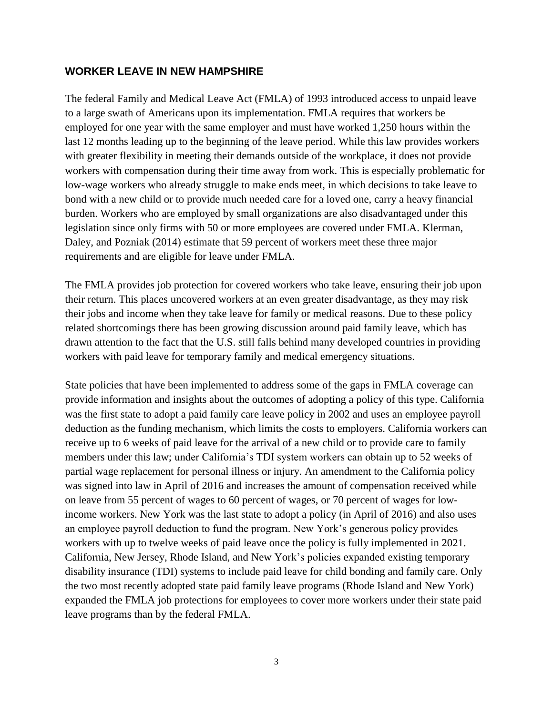#### **WORKER LEAVE IN NEW HAMPSHIRE**

The federal Family and Medical Leave Act (FMLA) of 1993 introduced access to unpaid leave to a large swath of Americans upon its implementation. FMLA requires that workers be employed for one year with the same employer and must have worked 1,250 hours within the last 12 months leading up to the beginning of the leave period. While this law provides workers with greater flexibility in meeting their demands outside of the workplace, it does not provide workers with compensation during their time away from work. This is especially problematic for low-wage workers who already struggle to make ends meet, in which decisions to take leave to bond with a new child or to provide much needed care for a loved one, carry a heavy financial burden. Workers who are employed by small organizations are also disadvantaged under this legislation since only firms with 50 or more employees are covered under FMLA. Klerman, Daley, and Pozniak (2014) estimate that 59 percent of workers meet these three major requirements and are eligible for leave under FMLA.

The FMLA provides job protection for covered workers who take leave, ensuring their job upon their return. This places uncovered workers at an even greater disadvantage, as they may risk their jobs and income when they take leave for family or medical reasons. Due to these policy related shortcomings there has been growing discussion around paid family leave, which has drawn attention to the fact that the U.S. still falls behind many developed countries in providing workers with paid leave for temporary family and medical emergency situations.

State policies that have been implemented to address some of the gaps in FMLA coverage can provide information and insights about the outcomes of adopting a policy of this type. California was the first state to adopt a paid family care leave policy in 2002 and uses an employee payroll deduction as the funding mechanism, which limits the costs to employers. California workers can receive up to 6 weeks of paid leave for the arrival of a new child or to provide care to family members under this law; under California's TDI system workers can obtain up to 52 weeks of partial wage replacement for personal illness or injury. An amendment to the California policy was signed into law in April of 2016 and increases the amount of compensation received while on leave from 55 percent of wages to 60 percent of wages, or 70 percent of wages for lowincome workers. New York was the last state to adopt a policy (in April of 2016) and also uses an employee payroll deduction to fund the program. New York's generous policy provides workers with up to twelve weeks of paid leave once the policy is fully implemented in 2021. California, New Jersey, Rhode Island, and New York's policies expanded existing temporary disability insurance (TDI) systems to include paid leave for child bonding and family care. Only the two most recently adopted state paid family leave programs (Rhode Island and New York) expanded the FMLA job protections for employees to cover more workers under their state paid leave programs than by the federal FMLA.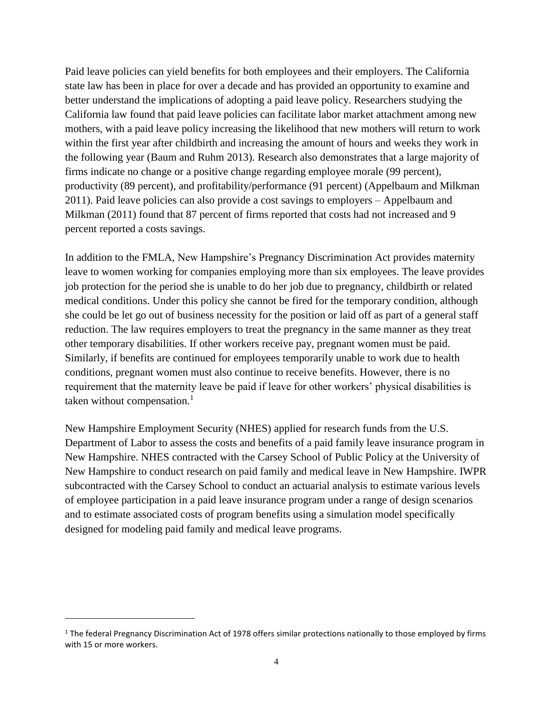Paid leave policies can yield benefits for both employees and their employers. The California state law has been in place for over a decade and has provided an opportunity to examine and better understand the implications of adopting a paid leave policy. Researchers studying the California law found that paid leave policies can facilitate labor market attachment among new mothers, with a paid leave policy increasing the likelihood that new mothers will return to work within the first year after childbirth and increasing the amount of hours and weeks they work in the following year (Baum and Ruhm 2013). Research also demonstrates that a large majority of firms indicate no change or a positive change regarding employee morale (99 percent), productivity (89 percent), and profitability/performance (91 percent) (Appelbaum and Milkman 2011). Paid leave policies can also provide a cost savings to employers – Appelbaum and Milkman (2011) found that 87 percent of firms reported that costs had not increased and 9 percent reported a costs savings.

In addition to the FMLA, New Hampshire's Pregnancy Discrimination Act provides maternity leave to women working for companies employing more than six employees. The leave provides job protection for the period she is unable to do her job due to pregnancy, childbirth or related medical conditions. Under this policy she cannot be fired for the temporary condition, although she could be let go out of business necessity for the position or laid off as part of a general staff reduction. The law requires employers to treat the pregnancy in the same manner as they treat other temporary disabilities. If other workers receive pay, pregnant women must be paid. Similarly, if benefits are continued for employees temporarily unable to work due to health conditions, pregnant women must also continue to receive benefits. However, there is no requirement that the maternity leave be paid if leave for other workers' physical disabilities is taken without compensation. $<sup>1</sup>$ </sup>

New Hampshire Employment Security (NHES) applied for research funds from the U.S. Department of Labor to assess the costs and benefits of a paid family leave insurance program in New Hampshire. NHES contracted with the Carsey School of Public Policy at the University of New Hampshire to conduct research on paid family and medical leave in New Hampshire. IWPR subcontracted with the Carsey School to conduct an actuarial analysis to estimate various levels of employee participation in a paid leave insurance program under a range of design scenarios and to estimate associated costs of program benefits using a simulation model specifically designed for modeling paid family and medical leave programs.

 $\overline{\phantom{a}}$ 

 $1$  The federal Pregnancy Discrimination Act of 1978 offers similar protections nationally to those employed by firms with 15 or more workers.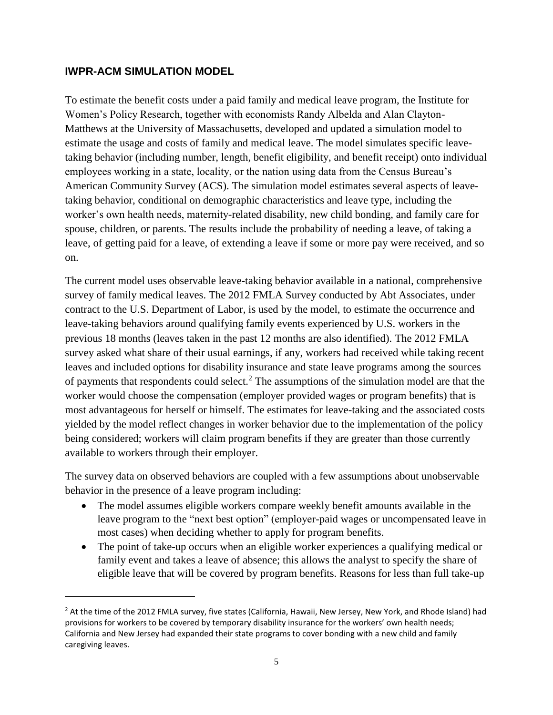#### **IWPR-ACM SIMULATION MODEL**

 $\overline{\phantom{a}}$ 

To estimate the benefit costs under a paid family and medical leave program, the Institute for Women's Policy Research, together with economists Randy Albelda and Alan Clayton-Matthews at the University of Massachusetts, developed and updated a simulation model to estimate the usage and costs of family and medical leave. The model simulates specific leavetaking behavior (including number, length, benefit eligibility, and benefit receipt) onto individual employees working in a state, locality, or the nation using data from the Census Bureau's American Community Survey (ACS). The simulation model estimates several aspects of leavetaking behavior, conditional on demographic characteristics and leave type, including the worker's own health needs, maternity-related disability, new child bonding, and family care for spouse, children, or parents. The results include the probability of needing a leave, of taking a leave, of getting paid for a leave, of extending a leave if some or more pay were received, and so on.

The current model uses observable leave-taking behavior available in a national, comprehensive survey of family medical leaves. The 2012 FMLA Survey conducted by Abt Associates, under contract to the U.S. Department of Labor, is used by the model, to estimate the occurrence and leave-taking behaviors around qualifying family events experienced by U.S. workers in the previous 18 months (leaves taken in the past 12 months are also identified). The 2012 FMLA survey asked what share of their usual earnings, if any, workers had received while taking recent leaves and included options for disability insurance and state leave programs among the sources of payments that respondents could select.<sup>2</sup> The assumptions of the simulation model are that the worker would choose the compensation (employer provided wages or program benefits) that is most advantageous for herself or himself. The estimates for leave-taking and the associated costs yielded by the model reflect changes in worker behavior due to the implementation of the policy being considered; workers will claim program benefits if they are greater than those currently available to workers through their employer.

The survey data on observed behaviors are coupled with a few assumptions about unobservable behavior in the presence of a leave program including:

- The model assumes eligible workers compare weekly benefit amounts available in the leave program to the "next best option" (employer-paid wages or uncompensated leave in most cases) when deciding whether to apply for program benefits.
- The point of take-up occurs when an eligible worker experiences a qualifying medical or family event and takes a leave of absence; this allows the analyst to specify the share of eligible leave that will be covered by program benefits. Reasons for less than full take-up

<sup>&</sup>lt;sup>2</sup> At the time of the 2012 FMLA survey, five states (California, Hawaii, New Jersey, New York, and Rhode Island) had provisions for workers to be covered by temporary disability insurance for the workers' own health needs; California and New Jersey had expanded their state programs to cover bonding with a new child and family caregiving leaves.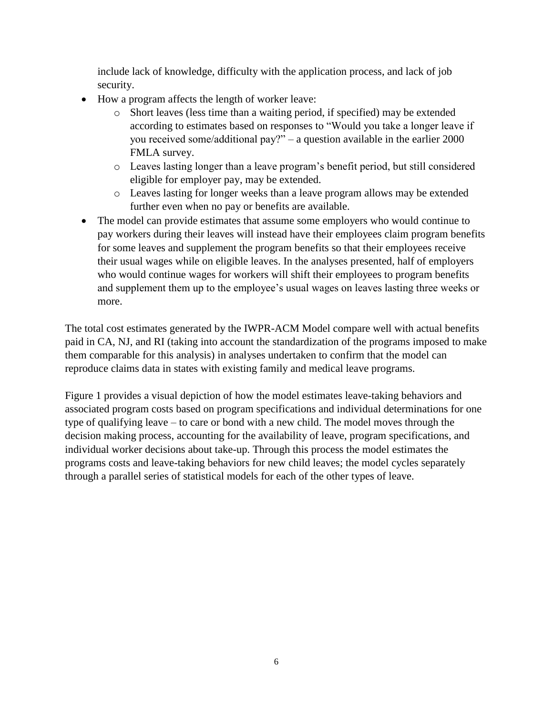include lack of knowledge, difficulty with the application process, and lack of job security.

- How a program affects the length of worker leave:
	- o Short leaves (less time than a waiting period, if specified) may be extended according to estimates based on responses to "Would you take a longer leave if you received some/additional pay?" – a question available in the earlier 2000 FMLA survey.
	- o Leaves lasting longer than a leave program's benefit period, but still considered eligible for employer pay, may be extended.
	- o Leaves lasting for longer weeks than a leave program allows may be extended further even when no pay or benefits are available.
- The model can provide estimates that assume some employers who would continue to pay workers during their leaves will instead have their employees claim program benefits for some leaves and supplement the program benefits so that their employees receive their usual wages while on eligible leaves. In the analyses presented, half of employers who would continue wages for workers will shift their employees to program benefits and supplement them up to the employee's usual wages on leaves lasting three weeks or more.

The total cost estimates generated by the IWPR-ACM Model compare well with actual benefits paid in CA, NJ, and RI (taking into account the standardization of the programs imposed to make them comparable for this analysis) in analyses undertaken to confirm that the model can reproduce claims data in states with existing family and medical leave programs.

Figure 1 provides a visual depiction of how the model estimates leave-taking behaviors and associated program costs based on program specifications and individual determinations for one type of qualifying leave – to care or bond with a new child. The model moves through the decision making process, accounting for the availability of leave, program specifications, and individual worker decisions about take-up. Through this process the model estimates the programs costs and leave-taking behaviors for new child leaves; the model cycles separately through a parallel series of statistical models for each of the other types of leave.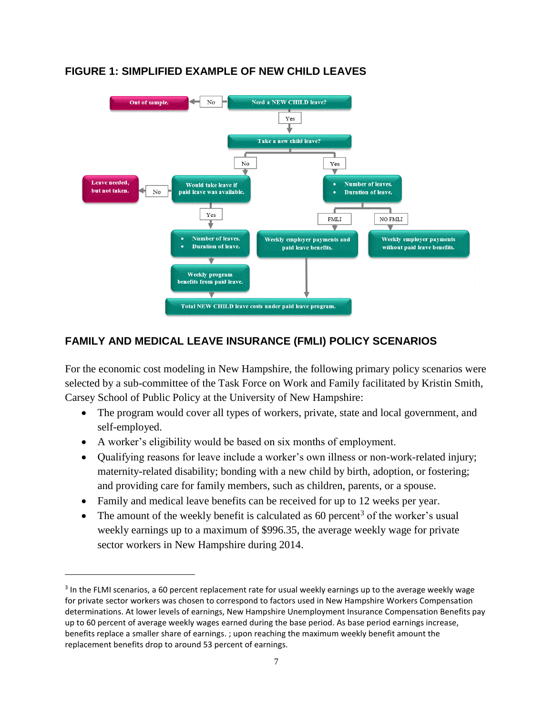

## **FIGURE 1: SIMPLIFIED EXAMPLE OF NEW CHILD LEAVES**

## **FAMILY AND MEDICAL LEAVE INSURANCE (FMLI) POLICY SCENARIOS**

For the economic cost modeling in New Hampshire, the following primary policy scenarios were selected by a sub-committee of the Task Force on Work and Family facilitated by Kristin Smith, Carsey School of Public Policy at the University of New Hampshire:

- The program would cover all types of workers, private, state and local government, and self-employed.
- A worker's eligibility would be based on six months of employment.

 $\overline{\phantom{a}}$ 

- Qualifying reasons for leave include a worker's own illness or non-work-related injury; maternity-related disability; bonding with a new child by birth, adoption, or fostering; and providing care for family members, such as children, parents, or a spouse.
- Family and medical leave benefits can be received for up to 12 weeks per year.
- The amount of the weekly benefit is calculated as 60 percent<sup>3</sup> of the worker's usual weekly earnings up to a maximum of \$996.35, the average weekly wage for private sector workers in New Hampshire during 2014.

<sup>&</sup>lt;sup>3</sup> In the FLMI scenarios, a 60 percent replacement rate for usual weekly earnings up to the average weekly wage for private sector workers was chosen to correspond to factors used in New Hampshire Workers Compensation determinations. At lower levels of earnings, New Hampshire Unemployment Insurance Compensation Benefits pay up to 60 percent of average weekly wages earned during the base period. As base period earnings increase, benefits replace a smaller share of earnings. ; upon reaching the maximum weekly benefit amount the replacement benefits drop to around 53 percent of earnings.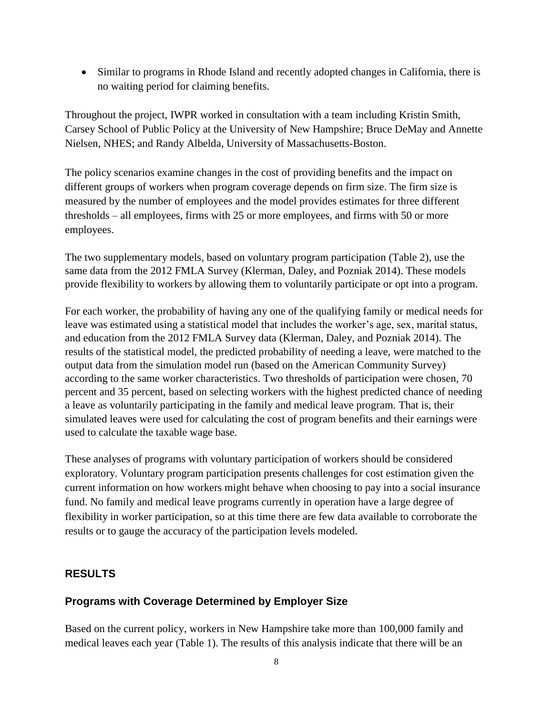• Similar to programs in Rhode Island and recently adopted changes in California, there is no waiting period for claiming benefits.

Throughout the project, IWPR worked in consultation with a team including Kristin Smith, Carsey School of Public Policy at the University of New Hampshire; Bruce DeMay and Annette Nielsen, NHES; and Randy Albelda, University of Massachusetts-Boston.

The policy scenarios examine changes in the cost of providing benefits and the impact on different groups of workers when program coverage depends on firm size. The firm size is measured by the number of employees and the model provides estimates for three different thresholds – all employees, firms with 25 or more employees, and firms with 50 or more employees.

The two supplementary models, based on voluntary program participation (Table 2), use the same data from the 2012 FMLA Survey (Klerman, Daley, and Pozniak 2014). These models provide flexibility to workers by allowing them to voluntarily participate or opt into a program.

For each worker, the probability of having any one of the qualifying family or medical needs for leave was estimated using a statistical model that includes the worker's age, sex, marital status, and education from the 2012 FMLA Survey data (Klerman, Daley, and Pozniak 2014). The results of the statistical model, the predicted probability of needing a leave, were matched to the output data from the simulation model run (based on the American Community Survey) according to the same worker characteristics. Two thresholds of participation were chosen, 70 percent and 35 percent, based on selecting workers with the highest predicted chance of needing a leave as voluntarily participating in the family and medical leave program. That is, their simulated leaves were used for calculating the cost of program benefits and their earnings were used to calculate the taxable wage base.

These analyses of programs with voluntary participation of workers should be considered exploratory. Voluntary program participation presents challenges for cost estimation given the current information on how workers might behave when choosing to pay into a social insurance fund. No family and medical leave programs currently in operation have a large degree of flexibility in worker participation, so at this time there are few data available to corroborate the results or to gauge the accuracy of the participation levels modeled.

### **RESULTS**

### **Programs with Coverage Determined by Employer Size**

Based on the current policy, workers in New Hampshire take more than 100,000 family and medical leaves each year (Table 1). The results of this analysis indicate that there will be an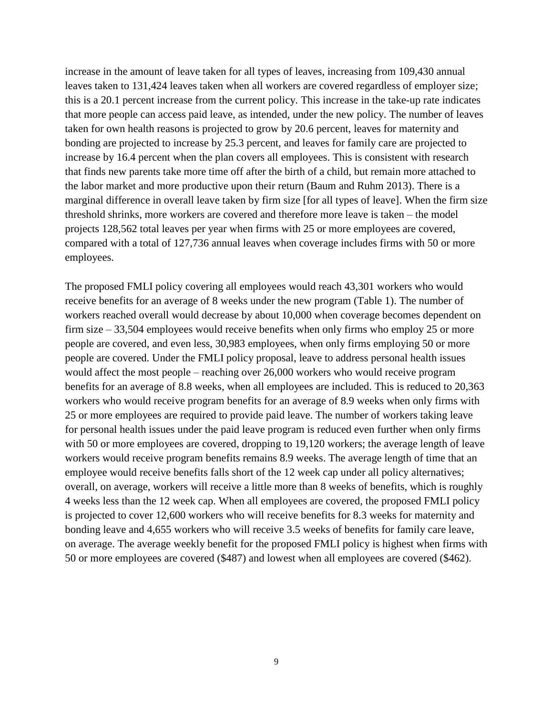increase in the amount of leave taken for all types of leaves, increasing from 109,430 annual leaves taken to 131,424 leaves taken when all workers are covered regardless of employer size; this is a 20.1 percent increase from the current policy. This increase in the take-up rate indicates that more people can access paid leave, as intended, under the new policy. The number of leaves taken for own health reasons is projected to grow by 20.6 percent, leaves for maternity and bonding are projected to increase by 25.3 percent, and leaves for family care are projected to increase by 16.4 percent when the plan covers all employees. This is consistent with research that finds new parents take more time off after the birth of a child, but remain more attached to the labor market and more productive upon their return (Baum and Ruhm 2013). There is a marginal difference in overall leave taken by firm size [for all types of leave]. When the firm size threshold shrinks, more workers are covered and therefore more leave is taken – the model projects 128,562 total leaves per year when firms with 25 or more employees are covered, compared with a total of 127,736 annual leaves when coverage includes firms with 50 or more employees.

The proposed FMLI policy covering all employees would reach 43,301 workers who would receive benefits for an average of 8 weeks under the new program (Table 1). The number of workers reached overall would decrease by about 10,000 when coverage becomes dependent on firm size – 33,504 employees would receive benefits when only firms who employ 25 or more people are covered, and even less, 30,983 employees, when only firms employing 50 or more people are covered. Under the FMLI policy proposal, leave to address personal health issues would affect the most people – reaching over 26,000 workers who would receive program benefits for an average of 8.8 weeks, when all employees are included. This is reduced to 20,363 workers who would receive program benefits for an average of 8.9 weeks when only firms with 25 or more employees are required to provide paid leave. The number of workers taking leave for personal health issues under the paid leave program is reduced even further when only firms with 50 or more employees are covered, dropping to 19,120 workers; the average length of leave workers would receive program benefits remains 8.9 weeks. The average length of time that an employee would receive benefits falls short of the 12 week cap under all policy alternatives; overall, on average, workers will receive a little more than 8 weeks of benefits, which is roughly 4 weeks less than the 12 week cap. When all employees are covered, the proposed FMLI policy is projected to cover 12,600 workers who will receive benefits for 8.3 weeks for maternity and bonding leave and 4,655 workers who will receive 3.5 weeks of benefits for family care leave, on average. The average weekly benefit for the proposed FMLI policy is highest when firms with 50 or more employees are covered (\$487) and lowest when all employees are covered (\$462).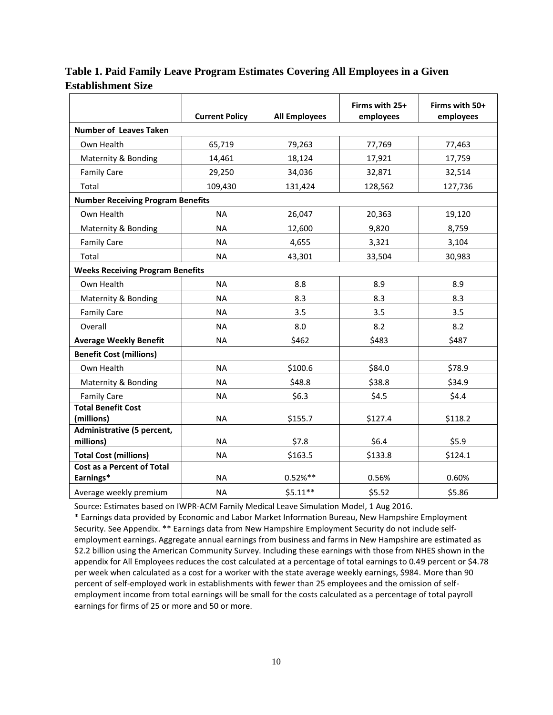|                                          | <b>Current Policy</b> | <b>All Employees</b> | Firms with 25+<br>employees | Firms with 50+<br>employees |
|------------------------------------------|-----------------------|----------------------|-----------------------------|-----------------------------|
| <b>Number of Leaves Taken</b>            |                       |                      |                             |                             |
| Own Health                               | 65,719                | 79,263               | 77,769                      | 77,463                      |
| Maternity & Bonding                      | 14,461                | 18,124               | 17,921                      | 17,759                      |
| <b>Family Care</b>                       | 29,250                | 34,036               | 32,871                      | 32,514                      |
| Total                                    | 109,430               | 131,424              | 128,562                     | 127,736                     |
| <b>Number Receiving Program Benefits</b> |                       |                      |                             |                             |
| Own Health                               | <b>NA</b>             | 26,047               | 20,363                      | 19,120                      |
| Maternity & Bonding                      | <b>NA</b>             | 12,600               | 9,820                       | 8,759                       |
| <b>Family Care</b>                       | <b>NA</b>             | 4,655                | 3,321                       | 3,104                       |
| Total                                    | <b>NA</b>             | 43,301               | 33,504                      | 30,983                      |
| <b>Weeks Receiving Program Benefits</b>  |                       |                      |                             |                             |
| Own Health                               | <b>NA</b>             | 8.8                  | 8.9                         | 8.9                         |
| Maternity & Bonding                      | <b>NA</b>             | 8.3                  | 8.3                         | 8.3                         |
| <b>Family Care</b>                       | <b>NA</b>             | 3.5                  | 3.5                         | 3.5                         |
| Overall                                  | <b>NA</b>             | 8.0                  | 8.2                         | 8.2                         |
| <b>Average Weekly Benefit</b>            | <b>NA</b>             | \$462                | \$483                       | \$487                       |
| <b>Benefit Cost (millions)</b>           |                       |                      |                             |                             |
| Own Health                               | <b>NA</b>             | \$100.6              | \$84.0                      | \$78.9                      |
| Maternity & Bonding                      | <b>NA</b>             | \$48.8               | \$38.8                      | \$34.9                      |
| <b>Family Care</b>                       | <b>NA</b>             | \$6.3                | \$4.5                       | \$4.4                       |
| <b>Total Benefit Cost</b><br>(millions)  | <b>NA</b>             | \$155.7              | \$127.4                     | \$118.2                     |
| Administrative (5 percent,<br>millions)  | <b>NA</b>             | \$7.8                | \$6.4\$                     | \$5.9                       |
| <b>Total Cost (millions)</b>             | <b>NA</b>             | \$163.5              | \$133.8                     | \$124.1                     |
| Cost as a Percent of Total<br>Earnings*  | <b>NA</b>             | $0.52%$ **           | 0.56%                       | 0.60%                       |
| Average weekly premium                   | <b>NA</b>             | $$5.11**$$           | \$5.52                      | \$5.86                      |

**Table 1. Paid Family Leave Program Estimates Covering All Employees in a Given Establishment Size**

Source: Estimates based on IWPR-ACM Family Medical Leave Simulation Model, 1 Aug 2016.

\* Earnings data provided by Economic and Labor Market Information Bureau, New Hampshire Employment Security. See Appendix. \*\* Earnings data from New Hampshire Employment Security do not include selfemployment earnings. Aggregate annual earnings from business and farms in New Hampshire are estimated as \$2.2 billion using the American Community Survey. Including these earnings with those from NHES shown in the appendix for All Employees reduces the cost calculated at a percentage of total earnings to 0.49 percent or \$4.78 per week when calculated as a cost for a worker with the state average weekly earnings, \$984. More than 90 percent of self-employed work in establishments with fewer than 25 employees and the omission of selfemployment income from total earnings will be small for the costs calculated as a percentage of total payroll earnings for firms of 25 or more and 50 or more.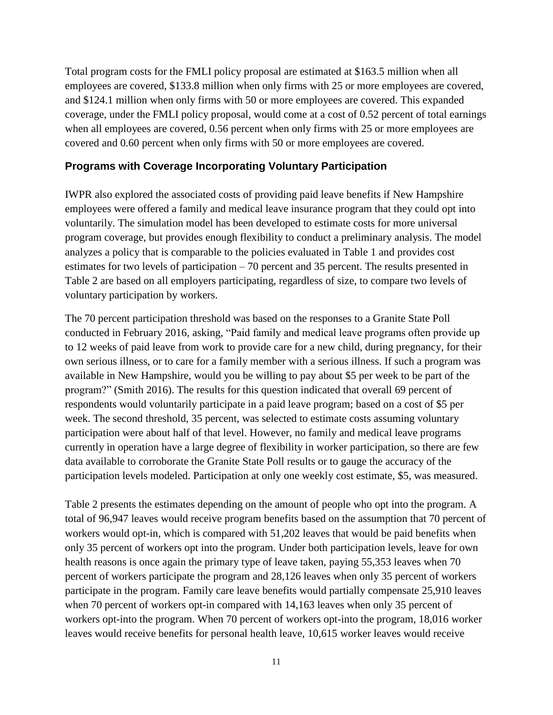Total program costs for the FMLI policy proposal are estimated at \$163.5 million when all employees are covered, \$133.8 million when only firms with 25 or more employees are covered, and \$124.1 million when only firms with 50 or more employees are covered. This expanded coverage, under the FMLI policy proposal, would come at a cost of 0.52 percent of total earnings when all employees are covered, 0.56 percent when only firms with 25 or more employees are covered and 0.60 percent when only firms with 50 or more employees are covered.

#### **Programs with Coverage Incorporating Voluntary Participation**

IWPR also explored the associated costs of providing paid leave benefits if New Hampshire employees were offered a family and medical leave insurance program that they could opt into voluntarily. The simulation model has been developed to estimate costs for more universal program coverage, but provides enough flexibility to conduct a preliminary analysis. The model analyzes a policy that is comparable to the policies evaluated in Table 1 and provides cost estimates for two levels of participation – 70 percent and 35 percent. The results presented in Table 2 are based on all employers participating, regardless of size, to compare two levels of voluntary participation by workers.

The 70 percent participation threshold was based on the responses to a Granite State Poll conducted in February 2016, asking, "Paid family and medical leave programs often provide up to 12 weeks of paid leave from work to provide care for a new child, during pregnancy, for their own serious illness, or to care for a family member with a serious illness. If such a program was available in New Hampshire, would you be willing to pay about \$5 per week to be part of the program?" (Smith 2016). The results for this question indicated that overall 69 percent of respondents would voluntarily participate in a paid leave program; based on a cost of \$5 per week. The second threshold, 35 percent, was selected to estimate costs assuming voluntary participation were about half of that level. However, no family and medical leave programs currently in operation have a large degree of flexibility in worker participation, so there are few data available to corroborate the Granite State Poll results or to gauge the accuracy of the participation levels modeled. Participation at only one weekly cost estimate, \$5, was measured.

Table 2 presents the estimates depending on the amount of people who opt into the program. A total of 96,947 leaves would receive program benefits based on the assumption that 70 percent of workers would opt-in, which is compared with 51,202 leaves that would be paid benefits when only 35 percent of workers opt into the program. Under both participation levels, leave for own health reasons is once again the primary type of leave taken, paying 55,353 leaves when 70 percent of workers participate the program and 28,126 leaves when only 35 percent of workers participate in the program. Family care leave benefits would partially compensate 25,910 leaves when 70 percent of workers opt-in compared with 14,163 leaves when only 35 percent of workers opt-into the program. When 70 percent of workers opt-into the program, 18,016 worker leaves would receive benefits for personal health leave, 10,615 worker leaves would receive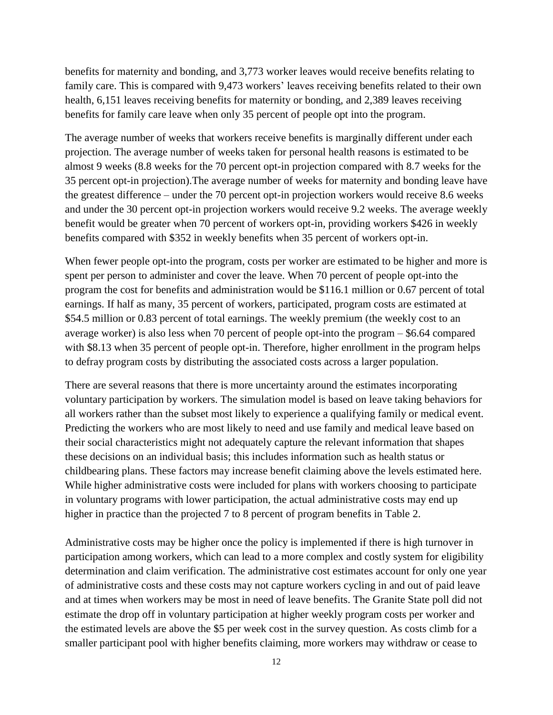benefits for maternity and bonding, and 3,773 worker leaves would receive benefits relating to family care. This is compared with 9,473 workers' leaves receiving benefits related to their own health, 6,151 leaves receiving benefits for maternity or bonding, and 2,389 leaves receiving benefits for family care leave when only 35 percent of people opt into the program.

The average number of weeks that workers receive benefits is marginally different under each projection. The average number of weeks taken for personal health reasons is estimated to be almost 9 weeks (8.8 weeks for the 70 percent opt-in projection compared with 8.7 weeks for the 35 percent opt-in projection).The average number of weeks for maternity and bonding leave have the greatest difference – under the 70 percent opt-in projection workers would receive 8.6 weeks and under the 30 percent opt-in projection workers would receive 9.2 weeks. The average weekly benefit would be greater when 70 percent of workers opt-in, providing workers \$426 in weekly benefits compared with \$352 in weekly benefits when 35 percent of workers opt-in.

When fewer people opt-into the program, costs per worker are estimated to be higher and more is spent per person to administer and cover the leave. When 70 percent of people opt-into the program the cost for benefits and administration would be \$116.1 million or 0.67 percent of total earnings. If half as many, 35 percent of workers, participated, program costs are estimated at \$54.5 million or 0.83 percent of total earnings. The weekly premium (the weekly cost to an average worker) is also less when 70 percent of people opt-into the program – \$6.64 compared with \$8.13 when 35 percent of people opt-in. Therefore, higher enrollment in the program helps to defray program costs by distributing the associated costs across a larger population.

There are several reasons that there is more uncertainty around the estimates incorporating voluntary participation by workers. The simulation model is based on leave taking behaviors for all workers rather than the subset most likely to experience a qualifying family or medical event. Predicting the workers who are most likely to need and use family and medical leave based on their social characteristics might not adequately capture the relevant information that shapes these decisions on an individual basis; this includes information such as health status or childbearing plans. These factors may increase benefit claiming above the levels estimated here. While higher administrative costs were included for plans with workers choosing to participate in voluntary programs with lower participation, the actual administrative costs may end up higher in practice than the projected 7 to 8 percent of program benefits in Table 2.

Administrative costs may be higher once the policy is implemented if there is high turnover in participation among workers, which can lead to a more complex and costly system for eligibility determination and claim verification. The administrative cost estimates account for only one year of administrative costs and these costs may not capture workers cycling in and out of paid leave and at times when workers may be most in need of leave benefits. The Granite State poll did not estimate the drop off in voluntary participation at higher weekly program costs per worker and the estimated levels are above the \$5 per week cost in the survey question. As costs climb for a smaller participant pool with higher benefits claiming, more workers may withdraw or cease to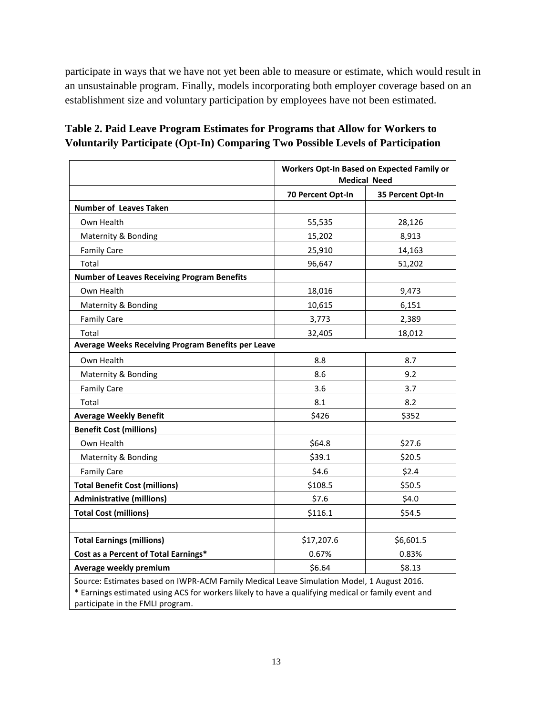participate in ways that we have not yet been able to measure or estimate, which would result in an unsustainable program. Finally, models incorporating both employer coverage based on an establishment size and voluntary participation by employees have not been estimated.

## **Table 2. Paid Leave Program Estimates for Programs that Allow for Workers to Voluntarily Participate (Opt-In) Comparing Two Possible Levels of Participation**

|                                                                                                                                        | <b>Workers Opt-In Based on Expected Family or</b><br><b>Medical Need</b> |                   |  |  |
|----------------------------------------------------------------------------------------------------------------------------------------|--------------------------------------------------------------------------|-------------------|--|--|
|                                                                                                                                        | 70 Percent Opt-In                                                        | 35 Percent Opt-In |  |  |
| <b>Number of Leaves Taken</b>                                                                                                          |                                                                          |                   |  |  |
| Own Health                                                                                                                             | 55,535                                                                   | 28,126            |  |  |
| Maternity & Bonding                                                                                                                    | 15,202                                                                   | 8,913             |  |  |
| <b>Family Care</b>                                                                                                                     | 25,910                                                                   | 14,163            |  |  |
| Total                                                                                                                                  | 96,647                                                                   | 51,202            |  |  |
| <b>Number of Leaves Receiving Program Benefits</b>                                                                                     |                                                                          |                   |  |  |
| Own Health                                                                                                                             | 18,016                                                                   | 9,473             |  |  |
| Maternity & Bonding                                                                                                                    | 10,615                                                                   | 6,151             |  |  |
| <b>Family Care</b>                                                                                                                     | 3,773                                                                    | 2,389             |  |  |
| Total                                                                                                                                  | 32,405                                                                   | 18,012            |  |  |
| Average Weeks Receiving Program Benefits per Leave                                                                                     |                                                                          |                   |  |  |
| Own Health                                                                                                                             | 8.8                                                                      | 8.7               |  |  |
| Maternity & Bonding                                                                                                                    | 8.6                                                                      | 9.2               |  |  |
| <b>Family Care</b>                                                                                                                     | 3.6                                                                      | 3.7               |  |  |
| Total                                                                                                                                  | 8.1                                                                      | 8.2               |  |  |
| <b>Average Weekly Benefit</b>                                                                                                          | \$426                                                                    | \$352             |  |  |
| <b>Benefit Cost (millions)</b>                                                                                                         |                                                                          |                   |  |  |
| Own Health                                                                                                                             | \$64.8                                                                   | \$27.6            |  |  |
| Maternity & Bonding                                                                                                                    | \$39.1                                                                   | \$20.5            |  |  |
| <b>Family Care</b>                                                                                                                     | \$4.6                                                                    | \$2.4             |  |  |
| <b>Total Benefit Cost (millions)</b>                                                                                                   | \$108.5                                                                  | \$50.5            |  |  |
| <b>Administrative (millions)</b>                                                                                                       | \$7.6                                                                    | \$4.0             |  |  |
| <b>Total Cost (millions)</b>                                                                                                           | \$116.1                                                                  | \$54.5            |  |  |
|                                                                                                                                        |                                                                          |                   |  |  |
| <b>Total Earnings (millions)</b>                                                                                                       | \$17,207.6                                                               | \$6,601.5         |  |  |
| Cost as a Percent of Total Earnings*                                                                                                   | 0.67%                                                                    | 0.83%             |  |  |
| Average weekly premium                                                                                                                 | \$6.64                                                                   | \$8.13            |  |  |
| Source: Estimates based on IWPR-ACM Family Medical Leave Simulation Model, 1 August 2016.                                              |                                                                          |                   |  |  |
| * Earnings estimated using ACS for workers likely to have a qualifying medical or family event and<br>participate in the FMLI program. |                                                                          |                   |  |  |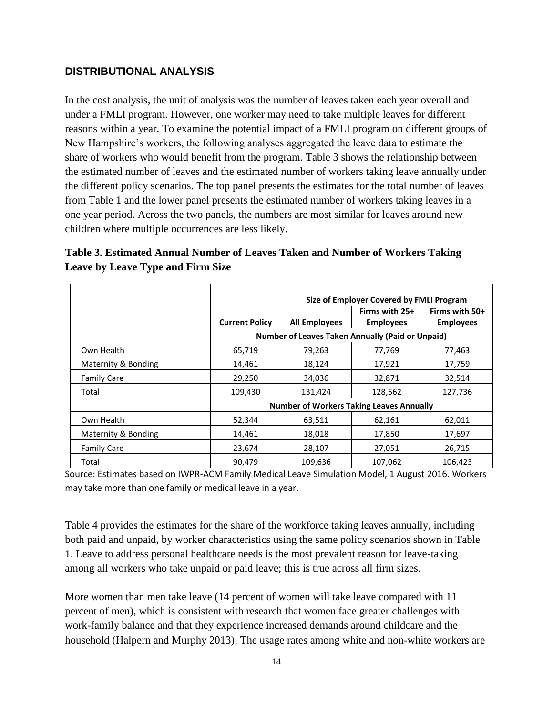## **DISTRIBUTIONAL ANALYSIS**

In the cost analysis, the unit of analysis was the number of leaves taken each year overall and under a FMLI program. However, one worker may need to take multiple leaves for different reasons within a year. To examine the potential impact of a FMLI program on different groups of New Hampshire's workers, the following analyses aggregated the leave data to estimate the share of workers who would benefit from the program. Table 3 shows the relationship between the estimated number of leaves and the estimated number of workers taking leave annually under the different policy scenarios. The top panel presents the estimates for the total number of leaves from Table 1 and the lower panel presents the estimated number of workers taking leaves in a one year period. Across the two panels, the numbers are most similar for leaves around new children where multiple occurrences are less likely.

| Table 3. Estimated Annual Number of Leaves Taken and Number of Workers Taking |  |
|-------------------------------------------------------------------------------|--|
| Leave by Leave Type and Firm Size                                             |  |

|                     |                       | Size of Employer Covered by FMLI Program                |                  |                  |  |
|---------------------|-----------------------|---------------------------------------------------------|------------------|------------------|--|
|                     |                       |                                                         | Firms with 25+   | Firms with 50+   |  |
|                     | <b>Current Policy</b> | <b>All Employees</b>                                    | <b>Employees</b> | <b>Employees</b> |  |
|                     |                       | <b>Number of Leaves Taken Annually (Paid or Unpaid)</b> |                  |                  |  |
| Own Health          | 65,719                | 79,263                                                  | 77,769           | 77,463           |  |
| Maternity & Bonding | 14,461                | 18,124                                                  | 17,921           | 17,759           |  |
| <b>Family Care</b>  | 29,250                | 34,036                                                  | 32,871           | 32,514           |  |
| Total               | 109,430               | 131,424                                                 | 128,562          | 127,736          |  |
|                     |                       | <b>Number of Workers Taking Leaves Annually</b>         |                  |                  |  |
| Own Health          | 52,344                | 63,511                                                  | 62,161           | 62,011           |  |
| Maternity & Bonding | 14,461                | 18,018                                                  | 17,850           | 17,697           |  |
| <b>Family Care</b>  | 23,674                | 28,107                                                  | 27,051           | 26,715           |  |
| Total               | 90.479                | 109,636                                                 | 107,062          | 106,423          |  |

Source: Estimates based on IWPR-ACM Family Medical Leave Simulation Model, 1 August 2016. Workers may take more than one family or medical leave in a year.

Table 4 provides the estimates for the share of the workforce taking leaves annually, including both paid and unpaid, by worker characteristics using the same policy scenarios shown in Table 1. Leave to address personal healthcare needs is the most prevalent reason for leave-taking among all workers who take unpaid or paid leave; this is true across all firm sizes.

More women than men take leave (14 percent of women will take leave compared with 11 percent of men), which is consistent with research that women face greater challenges with work-family balance and that they experience increased demands around childcare and the household (Halpern and Murphy 2013). The usage rates among white and non-white workers are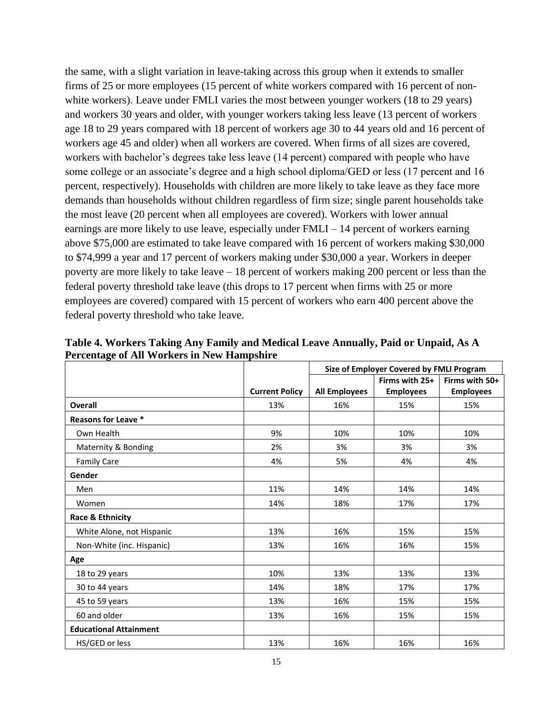the same, with a slight variation in leave-taking across this group when it extends to smaller firms of 25 or more employees (15 percent of white workers compared with 16 percent of nonwhite workers). Leave under FMLI varies the most between younger workers (18 to 29 years) and workers 30 years and older, with younger workers taking less leave (13 percent of workers age 18 to 29 years compared with 18 percent of workers age 30 to 44 years old and 16 percent of workers age 45 and older) when all workers are covered. When firms of all sizes are covered, workers with bachelor's degrees take less leave (14 percent) compared with people who have some college or an associate's degree and a high school diploma/GED or less (17 percent and 16 percent, respectively). Households with children are more likely to take leave as they face more demands than households without children regardless of firm size; single parent households take the most leave (20 percent when all employees are covered). Workers with lower annual earnings are more likely to use leave, especially under FMLI – 14 percent of workers earning above \$75,000 are estimated to take leave compared with 16 percent of workers making \$30,000 to \$74,999 a year and 17 percent of workers making under \$30,000 a year. Workers in deeper poverty are more likely to take leave – 18 percent of workers making 200 percent or less than the federal poverty threshold take leave (this drops to 17 percent when firms with 25 or more employees are covered) compared with 15 percent of workers who earn 400 percent above the federal poverty threshold who take leave.

|                               |                       | Size of Employer Covered by FMLI Program |                  |                  |
|-------------------------------|-----------------------|------------------------------------------|------------------|------------------|
|                               |                       |                                          | Firms with 25+   | Firms with 50+   |
|                               | <b>Current Policy</b> | <b>All Employees</b>                     | <b>Employees</b> | <b>Employees</b> |
| <b>Overall</b>                | 13%                   | 16%                                      | 15%              | 15%              |
| Reasons for Leave *           |                       |                                          |                  |                  |
| Own Health                    | 9%                    | 10%                                      | 10%              | 10%              |
| Maternity & Bonding           | 2%                    | 3%                                       | 3%               | 3%               |
| <b>Family Care</b>            | 4%                    | 5%                                       | 4%               | 4%               |
| Gender                        |                       |                                          |                  |                  |
| Men                           | 11%                   | 14%                                      | 14%              | 14%              |
| Women                         | 14%                   | 18%                                      | 17%              | 17%              |
| Race & Ethnicity              |                       |                                          |                  |                  |
| White Alone, not Hispanic     | 13%                   | 16%                                      | 15%              | 15%              |
| Non-White (inc. Hispanic)     | 13%                   | 16%                                      | 16%              | 15%              |
| Age                           |                       |                                          |                  |                  |
| 18 to 29 years                | 10%                   | 13%                                      | 13%              | 13%              |
| 30 to 44 years                | 14%                   | 18%                                      | 17%              | 17%              |
| 45 to 59 years                | 13%                   | 16%                                      | 15%              | 15%              |
| 60 and older                  | 13%                   | 16%                                      | 15%              | 15%              |
| <b>Educational Attainment</b> |                       |                                          |                  |                  |
| HS/GED or less                | 13%                   | 16%                                      | 16%              | 16%              |

**Table 4. Workers Taking Any Family and Medical Leave Annually, Paid or Unpaid, As A Percentage of All Workers in New Hampshire**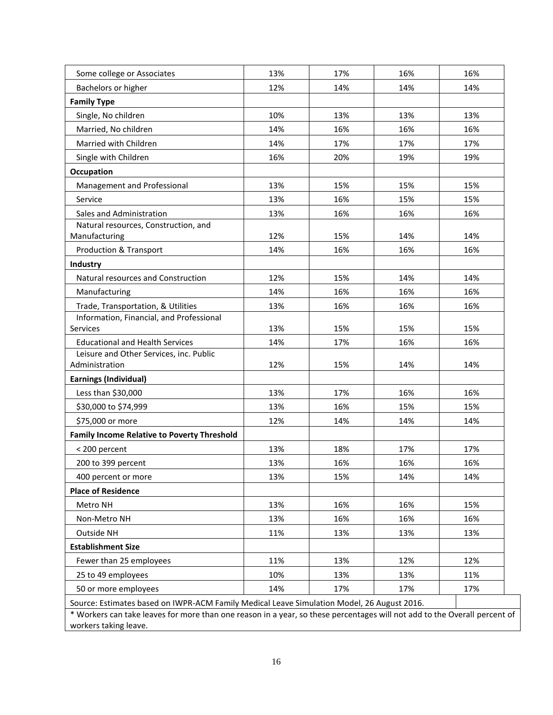| Some college or Associates                                                                 | 13% | 17% | 16% | 16% |
|--------------------------------------------------------------------------------------------|-----|-----|-----|-----|
| Bachelors or higher                                                                        | 12% | 14% | 14% | 14% |
| <b>Family Type</b>                                                                         |     |     |     |     |
| Single, No children                                                                        | 10% | 13% | 13% | 13% |
| Married, No children                                                                       | 14% | 16% | 16% | 16% |
| Married with Children                                                                      | 14% | 17% | 17% | 17% |
| Single with Children                                                                       | 16% | 20% | 19% | 19% |
| Occupation                                                                                 |     |     |     |     |
| Management and Professional                                                                | 13% | 15% | 15% | 15% |
| Service                                                                                    | 13% | 16% | 15% | 15% |
| Sales and Administration                                                                   | 13% | 16% | 16% | 16% |
| Natural resources, Construction, and                                                       |     |     |     |     |
| Manufacturing                                                                              | 12% | 15% | 14% | 14% |
| Production & Transport                                                                     | 14% | 16% | 16% | 16% |
| Industry                                                                                   |     |     |     |     |
| Natural resources and Construction                                                         | 12% | 15% | 14% | 14% |
| Manufacturing                                                                              | 14% | 16% | 16% | 16% |
| Trade, Transportation, & Utilities                                                         | 13% | 16% | 16% | 16% |
| Information, Financial, and Professional                                                   |     |     |     |     |
| <b>Services</b>                                                                            | 13% | 15% | 15% | 15% |
| <b>Educational and Health Services</b>                                                     | 14% | 17% | 16% | 16% |
| Leisure and Other Services, inc. Public<br>Administration                                  | 12% | 15% | 14% | 14% |
| <b>Earnings (Individual)</b>                                                               |     |     |     |     |
| Less than \$30,000                                                                         | 13% | 17% | 16% | 16% |
| \$30,000 to \$74,999                                                                       | 13% | 16% | 15% | 15% |
| \$75,000 or more                                                                           | 12% | 14% | 14% | 14% |
| <b>Family Income Relative to Poverty Threshold</b>                                         |     |     |     |     |
| < 200 percent                                                                              | 13% | 18% | 17% | 17% |
| 200 to 399 percent                                                                         | 13% | 16% | 16% | 16% |
| 400 percent or more                                                                        | 13% | 15% | 14% | 14% |
| <b>Place of Residence</b>                                                                  |     |     |     |     |
| Metro NH                                                                                   | 13% | 16% | 16% | 15% |
| Non-Metro NH                                                                               | 13% | 16% | 16% | 16% |
| Outside NH                                                                                 | 11% | 13% | 13% | 13% |
| <b>Establishment Size</b>                                                                  |     |     |     |     |
| Fewer than 25 employees                                                                    | 11% | 13% | 12% | 12% |
| 25 to 49 employees                                                                         | 10% | 13% | 13% | 11% |
| 50 or more employees                                                                       | 14% | 17% | 17% | 17% |
|                                                                                            |     |     |     |     |
| Source: Estimates based on IWPR-ACM Family Medical Leave Simulation Model, 26 August 2016. |     |     |     |     |

\* Workers can take leaves for more than one reason in a year, so these percentages will not add to the Overall percent of workers taking leave.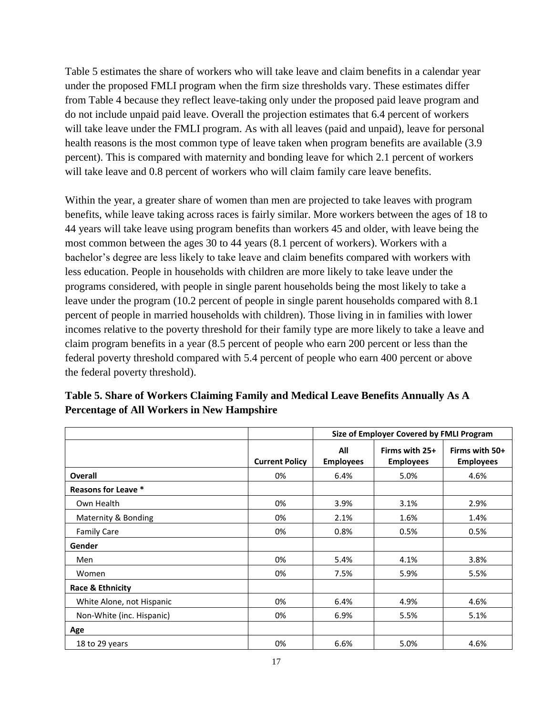Table 5 estimates the share of workers who will take leave and claim benefits in a calendar year under the proposed FMLI program when the firm size thresholds vary. These estimates differ from Table 4 because they reflect leave-taking only under the proposed paid leave program and do not include unpaid paid leave. Overall the projection estimates that 6.4 percent of workers will take leave under the FMLI program. As with all leaves (paid and unpaid), leave for personal health reasons is the most common type of leave taken when program benefits are available (3.9) percent). This is compared with maternity and bonding leave for which 2.1 percent of workers will take leave and 0.8 percent of workers who will claim family care leave benefits.

Within the year, a greater share of women than men are projected to take leaves with program benefits, while leave taking across races is fairly similar. More workers between the ages of 18 to 44 years will take leave using program benefits than workers 45 and older, with leave being the most common between the ages 30 to 44 years (8.1 percent of workers). Workers with a bachelor's degree are less likely to take leave and claim benefits compared with workers with less education. People in households with children are more likely to take leave under the programs considered, with people in single parent households being the most likely to take a leave under the program (10.2 percent of people in single parent households compared with 8.1 percent of people in married households with children). Those living in in families with lower incomes relative to the poverty threshold for their family type are more likely to take a leave and claim program benefits in a year (8.5 percent of people who earn 200 percent or less than the federal poverty threshold compared with 5.4 percent of people who earn 400 percent or above the federal poverty threshold).

|                            |                       | Size of Employer Covered by FMLI Program |                                    |                                    |  |
|----------------------------|-----------------------|------------------------------------------|------------------------------------|------------------------------------|--|
|                            | <b>Current Policy</b> | All<br><b>Employees</b>                  | Firms with 25+<br><b>Employees</b> | Firms with 50+<br><b>Employees</b> |  |
| <b>Overall</b>             | 0%                    | 6.4%                                     | 5.0%                               | 4.6%                               |  |
| <b>Reasons for Leave *</b> |                       |                                          |                                    |                                    |  |
| Own Health                 | 0%                    | 3.9%                                     | 3.1%                               | 2.9%                               |  |
| Maternity & Bonding        | 0%                    | 2.1%                                     | 1.6%                               | 1.4%                               |  |
| <b>Family Care</b>         | 0%                    | 0.8%                                     | 0.5%                               | 0.5%                               |  |
| Gender                     |                       |                                          |                                    |                                    |  |
| Men                        | 0%                    | 5.4%                                     | 4.1%                               | 3.8%                               |  |
| Women                      | 0%                    | 7.5%                                     | 5.9%                               | 5.5%                               |  |
| Race & Ethnicity           |                       |                                          |                                    |                                    |  |
| White Alone, not Hispanic  | 0%                    | 6.4%                                     | 4.9%                               | 4.6%                               |  |
| Non-White (inc. Hispanic)  | 0%                    | 6.9%                                     | 5.5%                               | 5.1%                               |  |
| Age                        |                       |                                          |                                    |                                    |  |
| 18 to 29 years             | 0%                    | 6.6%                                     | 5.0%                               | 4.6%                               |  |

**Table 5. Share of Workers Claiming Family and Medical Leave Benefits Annually As A Percentage of All Workers in New Hampshire**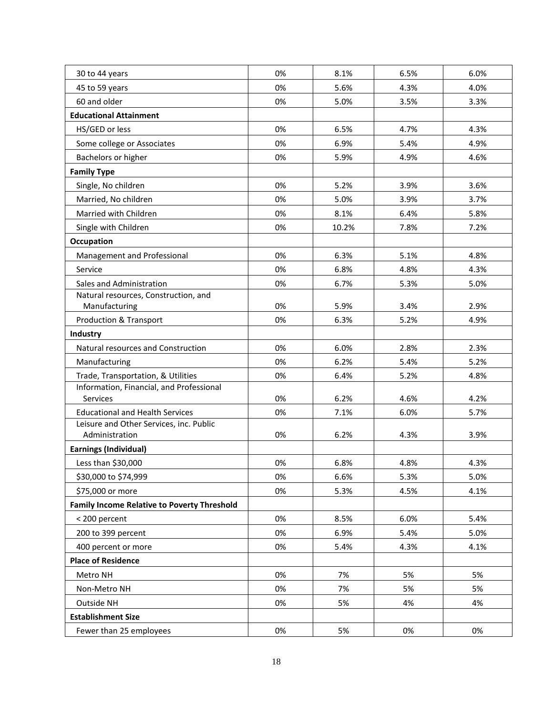| 30 to 44 years                                       | 0% | 8.1%  | 6.5% | 6.0% |
|------------------------------------------------------|----|-------|------|------|
| 45 to 59 years                                       | 0% | 5.6%  | 4.3% | 4.0% |
| 60 and older                                         | 0% | 5.0%  | 3.5% | 3.3% |
| <b>Educational Attainment</b>                        |    |       |      |      |
| HS/GED or less                                       | 0% | 6.5%  | 4.7% | 4.3% |
| Some college or Associates                           | 0% | 6.9%  | 5.4% | 4.9% |
| Bachelors or higher                                  | 0% | 5.9%  | 4.9% | 4.6% |
| <b>Family Type</b>                                   |    |       |      |      |
| Single, No children                                  | 0% | 5.2%  | 3.9% | 3.6% |
| Married, No children                                 | 0% | 5.0%  | 3.9% | 3.7% |
| Married with Children                                | 0% | 8.1%  | 6.4% | 5.8% |
| Single with Children                                 | 0% | 10.2% | 7.8% | 7.2% |
| <b>Occupation</b>                                    |    |       |      |      |
| Management and Professional                          | 0% | 6.3%  | 5.1% | 4.8% |
| Service                                              | 0% | 6.8%  | 4.8% | 4.3% |
| Sales and Administration                             | 0% | 6.7%  | 5.3% | 5.0% |
| Natural resources, Construction, and                 |    |       |      |      |
| Manufacturing                                        | 0% | 5.9%  | 3.4% | 2.9% |
| Production & Transport                               | 0% | 6.3%  | 5.2% | 4.9% |
| Industry                                             |    |       |      |      |
| Natural resources and Construction                   | 0% | 6.0%  | 2.8% | 2.3% |
| Manufacturing                                        | 0% | 6.2%  | 5.4% | 5.2% |
| Trade, Transportation, & Utilities                   | 0% | 6.4%  | 5.2% | 4.8% |
| Information, Financial, and Professional<br>Services | 0% | 6.2%  | 4.6% | 4.2% |
| <b>Educational and Health Services</b>               | 0% | 7.1%  | 6.0% | 5.7% |
| Leisure and Other Services, inc. Public              |    |       |      |      |
| Administration                                       | 0% | 6.2%  | 4.3% | 3.9% |
| Earnings (Individual)                                |    |       |      |      |
| Less than \$30,000                                   | 0% | 6.8%  | 4.8% | 4.3% |
| \$30,000 to \$74,999                                 | 0% | 6.6%  | 5.3% | 5.0% |
| \$75,000 or more                                     | 0% | 5.3%  | 4.5% | 4.1% |
| <b>Family Income Relative to Poverty Threshold</b>   |    |       |      |      |
| < 200 percent                                        | 0% | 8.5%  | 6.0% | 5.4% |
| 200 to 399 percent                                   | 0% | 6.9%  | 5.4% | 5.0% |
| 400 percent or more                                  | 0% | 5.4%  | 4.3% | 4.1% |
| <b>Place of Residence</b>                            |    |       |      |      |
| Metro NH                                             | 0% | 7%    | 5%   | 5%   |
| Non-Metro NH                                         | 0% | 7%    | 5%   | 5%   |
| Outside NH                                           | 0% | 5%    | 4%   | 4%   |
| <b>Establishment Size</b>                            |    |       |      |      |
| Fewer than 25 employees                              | 0% | 5%    | 0%   | 0%   |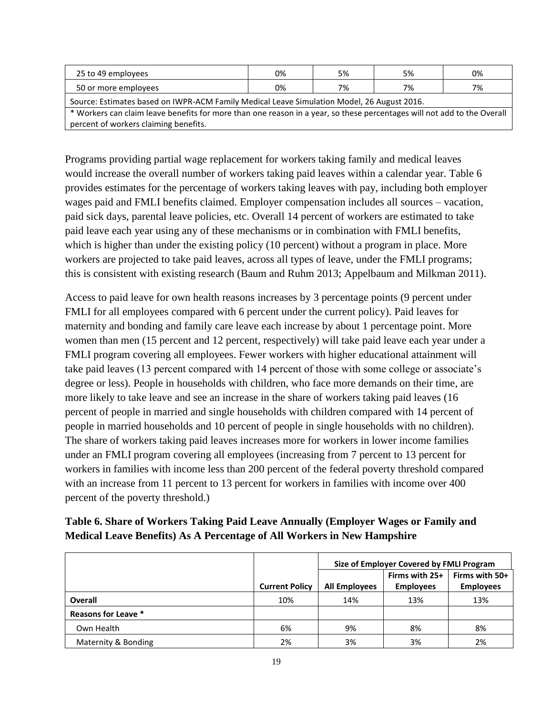| 25 to 49 employees                                                                                                      | 0% | 5% | 5% | 0% |  |
|-------------------------------------------------------------------------------------------------------------------------|----|----|----|----|--|
| 50 or more employees                                                                                                    | 0% | 7% | 7% | 7% |  |
| Source: Estimates based on IWPR-ACM Family Medical Leave Simulation Model, 26 August 2016.                              |    |    |    |    |  |
| * Workers can claim leave benefits for more than one reason in a year, so these percentages will not add to the Overall |    |    |    |    |  |
| percent of workers claiming benefits.                                                                                   |    |    |    |    |  |

Programs providing partial wage replacement for workers taking family and medical leaves would increase the overall number of workers taking paid leaves within a calendar year. Table 6 provides estimates for the percentage of workers taking leaves with pay, including both employer wages paid and FMLI benefits claimed. Employer compensation includes all sources – vacation, paid sick days, parental leave policies, etc. Overall 14 percent of workers are estimated to take paid leave each year using any of these mechanisms or in combination with FMLI benefits, which is higher than under the existing policy (10 percent) without a program in place. More workers are projected to take paid leaves, across all types of leave, under the FMLI programs; this is consistent with existing research (Baum and Ruhm 2013; Appelbaum and Milkman 2011).

Access to paid leave for own health reasons increases by 3 percentage points (9 percent under FMLI for all employees compared with 6 percent under the current policy). Paid leaves for maternity and bonding and family care leave each increase by about 1 percentage point. More women than men (15 percent and 12 percent, respectively) will take paid leave each year under a FMLI program covering all employees. Fewer workers with higher educational attainment will take paid leaves (13 percent compared with 14 percent of those with some college or associate's degree or less). People in households with children, who face more demands on their time, are more likely to take leave and see an increase in the share of workers taking paid leaves (16 percent of people in married and single households with children compared with 14 percent of people in married households and 10 percent of people in single households with no children). The share of workers taking paid leaves increases more for workers in lower income families under an FMLI program covering all employees (increasing from 7 percent to 13 percent for workers in families with income less than 200 percent of the federal poverty threshold compared with an increase from 11 percent to 13 percent for workers in families with income over 400 percent of the poverty threshold.)

| Table 6. Share of Workers Taking Paid Leave Annually (Employer Wages or Family and |
|------------------------------------------------------------------------------------|
| <b>Medical Leave Benefits) As A Percentage of All Workers in New Hampshire</b>     |

|                     |                       | Size of Employer Covered by FMLI Program |                                    |                                    |
|---------------------|-----------------------|------------------------------------------|------------------------------------|------------------------------------|
|                     | <b>Current Policy</b> | <b>All Employees</b>                     | Firms with 25+<br><b>Employees</b> | Firms with 50+<br><b>Employees</b> |
| <b>Overall</b>      | 10%                   | 14%                                      | 13%                                | 13%                                |
| Reasons for Leave * |                       |                                          |                                    |                                    |
| Own Health          | 6%                    | 9%                                       | 8%                                 | 8%                                 |
| Maternity & Bonding | 2%                    | 3%                                       | 3%                                 | 2%                                 |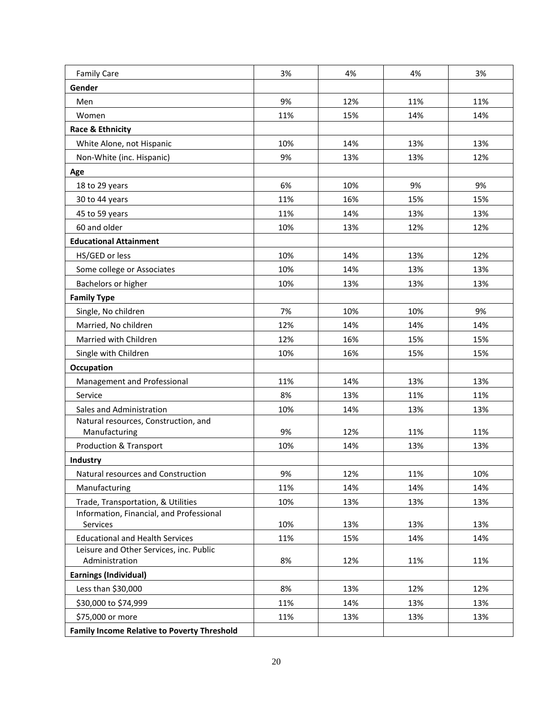| <b>Family Care</b>                                                                | 3%  | 4%  | 4%  | 3%  |
|-----------------------------------------------------------------------------------|-----|-----|-----|-----|
| Gender                                                                            |     |     |     |     |
| Men                                                                               | 9%  | 12% | 11% | 11% |
| Women                                                                             | 11% | 15% | 14% | 14% |
| <b>Race &amp; Ethnicity</b>                                                       |     |     |     |     |
| White Alone, not Hispanic                                                         | 10% | 14% | 13% | 13% |
| Non-White (inc. Hispanic)                                                         | 9%  | 13% | 13% | 12% |
| Age                                                                               |     |     |     |     |
| 18 to 29 years                                                                    | 6%  | 10% | 9%  | 9%  |
| 30 to 44 years                                                                    | 11% | 16% | 15% | 15% |
| 45 to 59 years                                                                    | 11% | 14% | 13% | 13% |
| 60 and older                                                                      | 10% | 13% | 12% | 12% |
| <b>Educational Attainment</b>                                                     |     |     |     |     |
| HS/GED or less                                                                    | 10% | 14% | 13% | 12% |
| Some college or Associates                                                        | 10% | 14% | 13% | 13% |
| Bachelors or higher                                                               | 10% | 13% | 13% | 13% |
| <b>Family Type</b>                                                                |     |     |     |     |
| Single, No children                                                               | 7%  | 10% | 10% | 9%  |
| Married, No children                                                              | 12% | 14% | 14% | 14% |
| Married with Children                                                             | 12% | 16% | 15% | 15% |
| Single with Children                                                              | 10% | 16% | 15% | 15% |
| Occupation                                                                        |     |     |     |     |
| Management and Professional                                                       | 11% | 14% | 13% | 13% |
| Service                                                                           | 8%  | 13% | 11% | 11% |
| Sales and Administration                                                          | 10% | 14% | 13% | 13% |
| Natural resources, Construction, and                                              |     |     |     |     |
| Manufacturing                                                                     | 9%  | 12% | 11% | 11% |
| Production & Transport                                                            | 10% | 14% | 13% | 13% |
| <b>Industry</b>                                                                   |     |     |     |     |
| Natural resources and Construction                                                | 9%  | 12% | 11% | 10% |
| Manufacturing                                                                     | 11% | 14% | 14% | 14% |
| Trade, Transportation, & Utilities                                                | 10% | 13% | 13% | 13% |
| Information, Financial, and Professional                                          |     |     |     |     |
| Services                                                                          | 10% | 13% | 13% | 13% |
| <b>Educational and Health Services</b><br>Leisure and Other Services, inc. Public | 11% | 15% | 14% | 14% |
| Administration                                                                    | 8%  | 12% | 11% | 11% |
| <b>Earnings (Individual)</b>                                                      |     |     |     |     |
| Less than \$30,000                                                                | 8%  | 13% | 12% | 12% |
| \$30,000 to \$74,999                                                              | 11% | 14% | 13% | 13% |
| \$75,000 or more                                                                  | 11% | 13% | 13% | 13% |
| <b>Family Income Relative to Poverty Threshold</b>                                |     |     |     |     |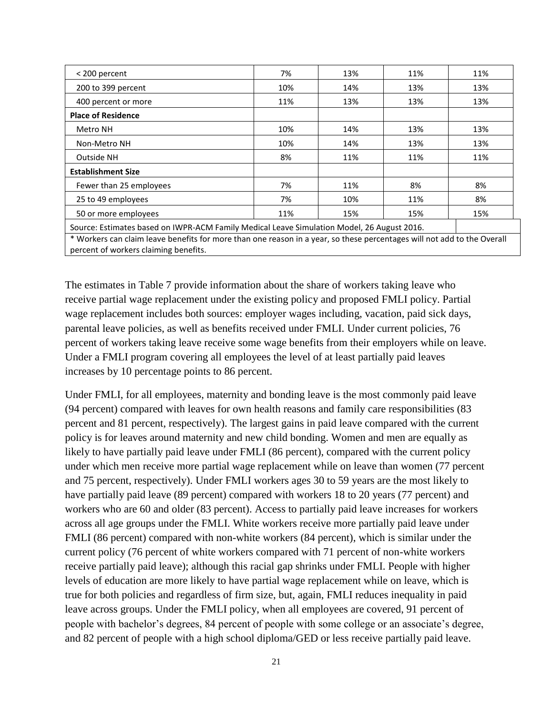| < 200 percent                                                                                                                                                    | 7%  | 13% | 11% | 11% |  |
|------------------------------------------------------------------------------------------------------------------------------------------------------------------|-----|-----|-----|-----|--|
| 200 to 399 percent                                                                                                                                               | 10% | 14% | 13% | 13% |  |
| 400 percent or more                                                                                                                                              | 11% | 13% | 13% | 13% |  |
| <b>Place of Residence</b>                                                                                                                                        |     |     |     |     |  |
| Metro NH                                                                                                                                                         | 10% | 14% | 13% | 13% |  |
| Non-Metro NH                                                                                                                                                     | 10% | 14% | 13% | 13% |  |
| Outside NH                                                                                                                                                       | 8%  | 11% | 11% | 11% |  |
| <b>Establishment Size</b>                                                                                                                                        |     |     |     |     |  |
| Fewer than 25 employees                                                                                                                                          | 7%  | 11% | 8%  | 8%  |  |
| 25 to 49 employees                                                                                                                                               | 7%  | 10% | 11% | 8%  |  |
| 50 or more employees                                                                                                                                             | 11% | 15% | 15% | 15% |  |
| Source: Estimates based on IWPR-ACM Family Medical Leave Simulation Model, 26 August 2016.                                                                       |     |     |     |     |  |
| * Workers can claim leave benefits for more than one reason in a year, so these percentages will not add to the Overall<br>percent of workers claiming benefits. |     |     |     |     |  |

The estimates in Table 7 provide information about the share of workers taking leave who receive partial wage replacement under the existing policy and proposed FMLI policy. Partial wage replacement includes both sources: employer wages including, vacation, paid sick days, parental leave policies, as well as benefits received under FMLI. Under current policies, 76 percent of workers taking leave receive some wage benefits from their employers while on leave. Under a FMLI program covering all employees the level of at least partially paid leaves increases by 10 percentage points to 86 percent.

Under FMLI, for all employees, maternity and bonding leave is the most commonly paid leave (94 percent) compared with leaves for own health reasons and family care responsibilities (83 percent and 81 percent, respectively). The largest gains in paid leave compared with the current policy is for leaves around maternity and new child bonding. Women and men are equally as likely to have partially paid leave under FMLI (86 percent), compared with the current policy under which men receive more partial wage replacement while on leave than women (77 percent and 75 percent, respectively). Under FMLI workers ages 30 to 59 years are the most likely to have partially paid leave (89 percent) compared with workers 18 to 20 years (77 percent) and workers who are 60 and older (83 percent). Access to partially paid leave increases for workers across all age groups under the FMLI. White workers receive more partially paid leave under FMLI (86 percent) compared with non-white workers (84 percent), which is similar under the current policy (76 percent of white workers compared with 71 percent of non-white workers receive partially paid leave); although this racial gap shrinks under FMLI. People with higher levels of education are more likely to have partial wage replacement while on leave, which is true for both policies and regardless of firm size, but, again, FMLI reduces inequality in paid leave across groups. Under the FMLI policy, when all employees are covered, 91 percent of people with bachelor's degrees, 84 percent of people with some college or an associate's degree, and 82 percent of people with a high school diploma/GED or less receive partially paid leave.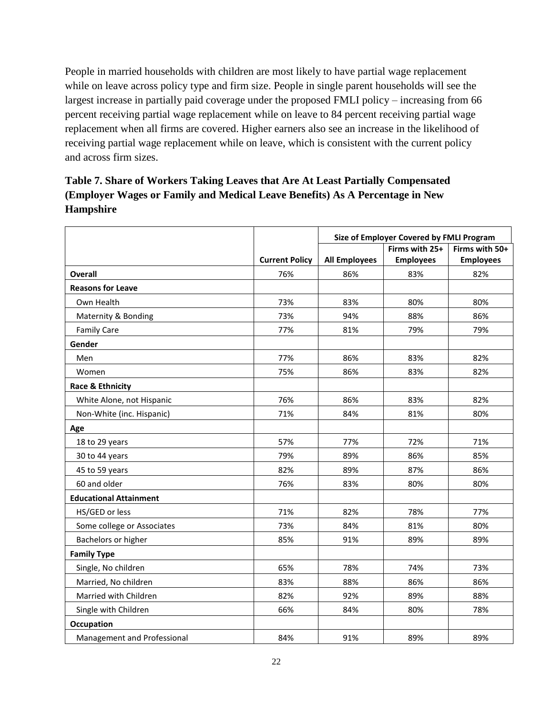People in married households with children are most likely to have partial wage replacement while on leave across policy type and firm size. People in single parent households will see the largest increase in partially paid coverage under the proposed FMLI policy – increasing from 66 percent receiving partial wage replacement while on leave to 84 percent receiving partial wage replacement when all firms are covered. Higher earners also see an increase in the likelihood of receiving partial wage replacement while on leave, which is consistent with the current policy and across firm sizes.

## **Table 7. Share of Workers Taking Leaves that Are At Least Partially Compensated (Employer Wages or Family and Medical Leave Benefits) As A Percentage in New Hampshire**

|                               |                       | Size of Employer Covered by FMLI Program |                  |                  |
|-------------------------------|-----------------------|------------------------------------------|------------------|------------------|
|                               |                       |                                          | Firms with 25+   | Firms with 50+   |
|                               | <b>Current Policy</b> | <b>All Employees</b>                     | <b>Employees</b> | <b>Employees</b> |
| <b>Overall</b>                | 76%                   | 86%                                      | 83%              | 82%              |
| <b>Reasons for Leave</b>      |                       |                                          |                  |                  |
| Own Health                    | 73%                   | 83%                                      | 80%              | 80%              |
| Maternity & Bonding           | 73%                   | 94%                                      | 88%              | 86%              |
| <b>Family Care</b>            | 77%                   | 81%                                      | 79%              | 79%              |
| Gender                        |                       |                                          |                  |                  |
| Men                           | 77%                   | 86%                                      | 83%              | 82%              |
| Women                         | 75%                   | 86%                                      | 83%              | 82%              |
| <b>Race &amp; Ethnicity</b>   |                       |                                          |                  |                  |
| White Alone, not Hispanic     | 76%                   | 86%                                      | 83%              | 82%              |
| Non-White (inc. Hispanic)     | 71%                   | 84%                                      | 81%              | 80%              |
| Age                           |                       |                                          |                  |                  |
| 18 to 29 years                | 57%                   | 77%                                      | 72%              | 71%              |
| 30 to 44 years                | 79%                   | 89%                                      | 86%              | 85%              |
| 45 to 59 years                | 82%                   | 89%                                      | 87%              | 86%              |
| 60 and older                  | 76%                   | 83%                                      | 80%              | 80%              |
| <b>Educational Attainment</b> |                       |                                          |                  |                  |
| HS/GED or less                | 71%                   | 82%                                      | 78%              | 77%              |
| Some college or Associates    | 73%                   | 84%                                      | 81%              | 80%              |
| Bachelors or higher           | 85%                   | 91%                                      | 89%              | 89%              |
| <b>Family Type</b>            |                       |                                          |                  |                  |
| Single, No children           | 65%                   | 78%                                      | 74%              | 73%              |
| Married, No children          | 83%                   | 88%                                      | 86%              | 86%              |
| Married with Children         | 82%                   | 92%                                      | 89%              | 88%              |
| Single with Children          | 66%                   | 84%                                      | 80%              | 78%              |
| Occupation                    |                       |                                          |                  |                  |
| Management and Professional   | 84%                   | 91%                                      | 89%              | 89%              |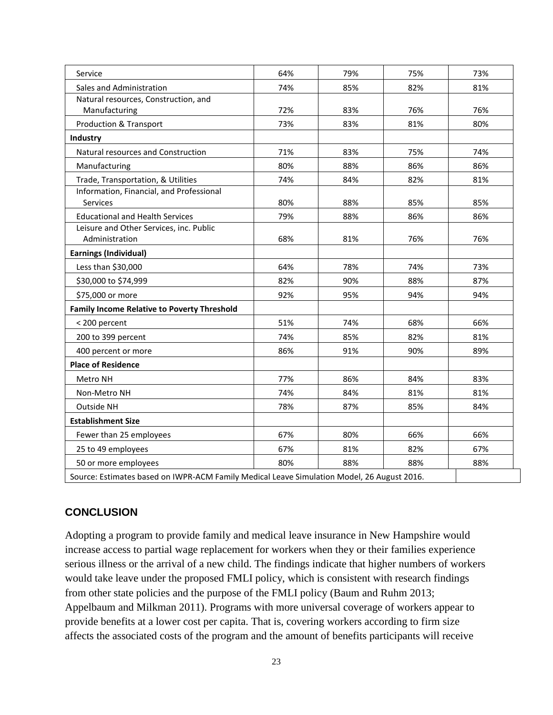| Service                                                                                    | 64% | 79% | 75% | 73% |
|--------------------------------------------------------------------------------------------|-----|-----|-----|-----|
| Sales and Administration                                                                   | 74% | 85% | 82% | 81% |
| Natural resources, Construction, and                                                       |     |     |     |     |
| Manufacturing                                                                              | 72% | 83% | 76% | 76% |
| Production & Transport                                                                     | 73% | 83% | 81% | 80% |
| Industry                                                                                   |     |     |     |     |
| Natural resources and Construction                                                         | 71% | 83% | 75% | 74% |
| Manufacturing                                                                              | 80% | 88% | 86% | 86% |
| Trade, Transportation, & Utilities                                                         | 74% | 84% | 82% | 81% |
| Information, Financial, and Professional                                                   |     |     |     |     |
| Services                                                                                   | 80% | 88% | 85% | 85% |
| <b>Educational and Health Services</b>                                                     | 79% | 88% | 86% | 86% |
| Leisure and Other Services, inc. Public                                                    |     |     |     |     |
| Administration                                                                             | 68% | 81% | 76% | 76% |
| <b>Earnings (Individual)</b>                                                               |     |     |     |     |
| Less than \$30,000                                                                         | 64% | 78% | 74% | 73% |
| \$30,000 to \$74,999                                                                       | 82% | 90% | 88% | 87% |
| \$75,000 or more                                                                           | 92% | 95% | 94% | 94% |
| <b>Family Income Relative to Poverty Threshold</b>                                         |     |     |     |     |
| < 200 percent                                                                              | 51% | 74% | 68% | 66% |
| 200 to 399 percent                                                                         | 74% | 85% | 82% | 81% |
| 400 percent or more                                                                        | 86% | 91% | 90% | 89% |
| <b>Place of Residence</b>                                                                  |     |     |     |     |
| Metro NH                                                                                   | 77% | 86% | 84% | 83% |
| Non-Metro NH                                                                               | 74% | 84% | 81% | 81% |
| Outside NH                                                                                 | 78% | 87% | 85% | 84% |
| <b>Establishment Size</b>                                                                  |     |     |     |     |
| Fewer than 25 employees                                                                    | 67% | 80% | 66% | 66% |
| 25 to 49 employees                                                                         | 67% | 81% | 82% | 67% |
| 50 or more employees                                                                       | 80% | 88% | 88% | 88% |
| Source: Estimates based on IWPR-ACM Family Medical Leave Simulation Model, 26 August 2016. |     |     |     |     |

### **CONCLUSION**

Adopting a program to provide family and medical leave insurance in New Hampshire would increase access to partial wage replacement for workers when they or their families experience serious illness or the arrival of a new child. The findings indicate that higher numbers of workers would take leave under the proposed FMLI policy, which is consistent with research findings from other state policies and the purpose of the FMLI policy (Baum and Ruhm 2013; Appelbaum and Milkman 2011). Programs with more universal coverage of workers appear to provide benefits at a lower cost per capita. That is, covering workers according to firm size affects the associated costs of the program and the amount of benefits participants will receive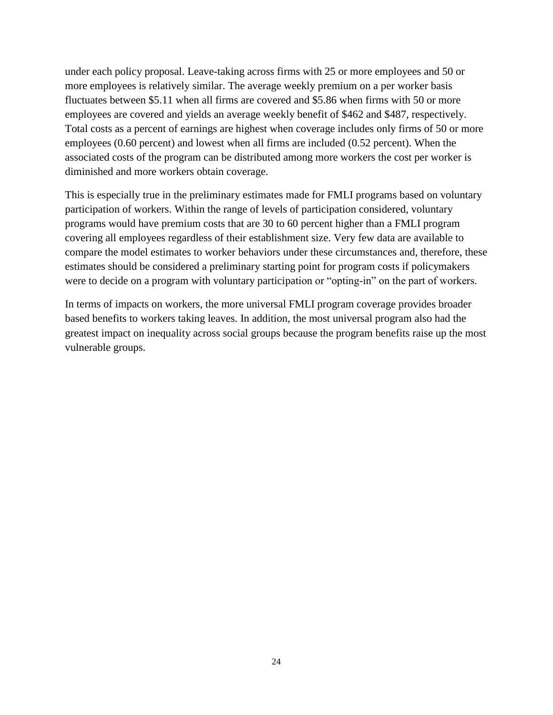under each policy proposal. Leave-taking across firms with 25 or more employees and 50 or more employees is relatively similar. The average weekly premium on a per worker basis fluctuates between \$5.11 when all firms are covered and \$5.86 when firms with 50 or more employees are covered and yields an average weekly benefit of \$462 and \$487, respectively. Total costs as a percent of earnings are highest when coverage includes only firms of 50 or more employees (0.60 percent) and lowest when all firms are included (0.52 percent). When the associated costs of the program can be distributed among more workers the cost per worker is diminished and more workers obtain coverage.

This is especially true in the preliminary estimates made for FMLI programs based on voluntary participation of workers. Within the range of levels of participation considered, voluntary programs would have premium costs that are 30 to 60 percent higher than a FMLI program covering all employees regardless of their establishment size. Very few data are available to compare the model estimates to worker behaviors under these circumstances and, therefore, these estimates should be considered a preliminary starting point for program costs if policymakers were to decide on a program with voluntary participation or "opting-in" on the part of workers.

In terms of impacts on workers, the more universal FMLI program coverage provides broader based benefits to workers taking leaves. In addition, the most universal program also had the greatest impact on inequality across social groups because the program benefits raise up the most vulnerable groups.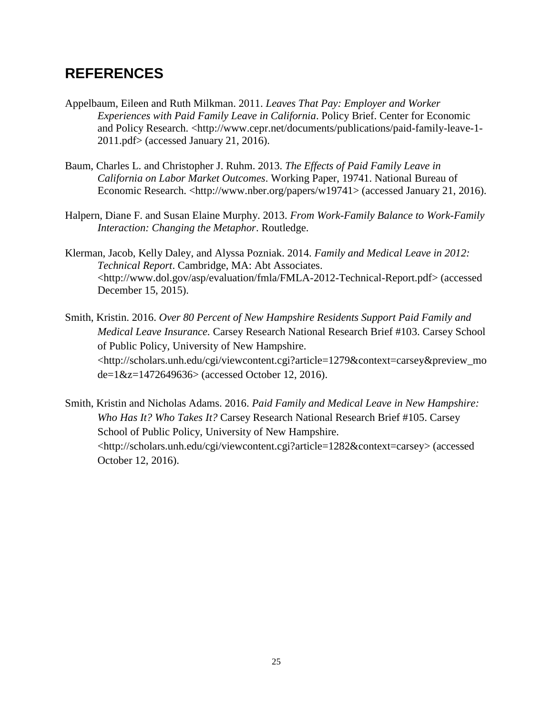## **REFERENCES**

- Appelbaum, Eileen and Ruth Milkman. 2011. *Leaves That Pay: Employer and Worker Experiences with Paid Family Leave in California*. Policy Brief. Center for Economic and Policy Research. <http://www.cepr.net/documents/publications/paid-family-leave-1-2011.pdf> (accessed January 21, 2016).
- Baum, Charles L. and Christopher J. Ruhm. 2013. *The Effects of Paid Family Leave in California on Labor Market Outcomes*. Working Paper, 19741. National Bureau of Economic Research. <http://www.nber.org/papers/w19741> (accessed January 21, 2016).
- Halpern, Diane F. and Susan Elaine Murphy. 2013. *From Work-Family Balance to Work-Family Interaction: Changing the Metaphor*. Routledge.
- Klerman, Jacob, Kelly Daley, and Alyssa Pozniak. 2014. *Family and Medical Leave in 2012: Technical Report*. Cambridge, MA: Abt Associates. <http://www.dol.gov/asp/evaluation/fmla/FMLA-2012-Technical-Report.pdf> (accessed December 15, 2015).
- Smith, Kristin. 2016. *Over 80 Percent of New Hampshire Residents Support Paid Family and Medical Leave Insurance.* Carsey Research National Research Brief #103. Carsey School of Public Policy, University of New Hampshire. <http://scholars.unh.edu/cgi/viewcontent.cgi?article=1279&context=carsey&preview\_mo de=1&z=1472649636> (accessed October 12, 2016).
- Smith, Kristin and Nicholas Adams. 2016. *Paid Family and Medical Leave in New Hampshire: Who Has It? Who Takes It?* Carsey Research National Research Brief #105. Carsey School of Public Policy, University of New Hampshire. <http://scholars.unh.edu/cgi/viewcontent.cgi?article=1282&context=carsey> (accessed October 12, 2016).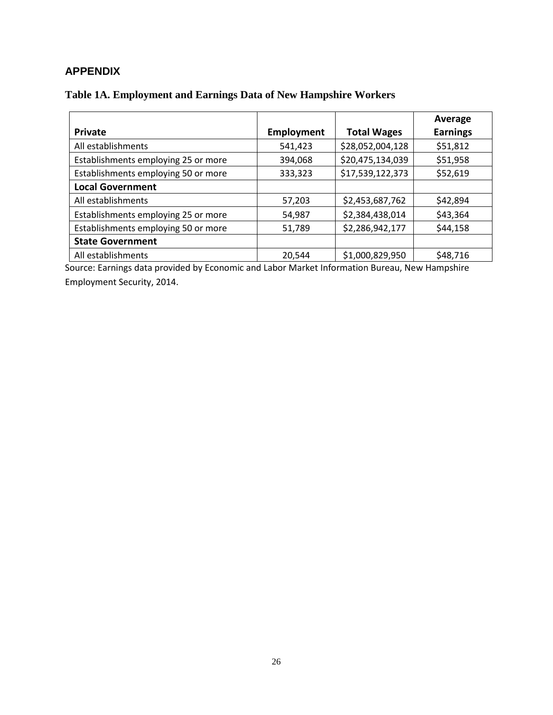## **APPENDIX**

## **Table 1A. Employment and Earnings Data of New Hampshire Workers**

|                                     |                   |                    | Average         |
|-------------------------------------|-------------------|--------------------|-----------------|
| Private                             | <b>Employment</b> | <b>Total Wages</b> | <b>Earnings</b> |
| All establishments                  | 541,423           | \$28,052,004,128   | \$51,812        |
| Establishments employing 25 or more | 394,068           | \$20,475,134,039   | \$51,958        |
| Establishments employing 50 or more | 333,323           | \$17,539,122,373   | \$52,619        |
| <b>Local Government</b>             |                   |                    |                 |
| All establishments                  | 57,203            | \$2,453,687,762    | \$42,894        |
| Establishments employing 25 or more | 54,987            | \$2,384,438,014    | \$43,364        |
| Establishments employing 50 or more | 51,789            | \$2,286,942,177    | \$44,158        |
| <b>State Government</b>             |                   |                    |                 |
| All establishments                  | 20,544            | \$1,000,829,950    | \$48,716        |

Source: Earnings data provided by Economic and Labor Market Information Bureau, New Hampshire Employment Security, 2014.